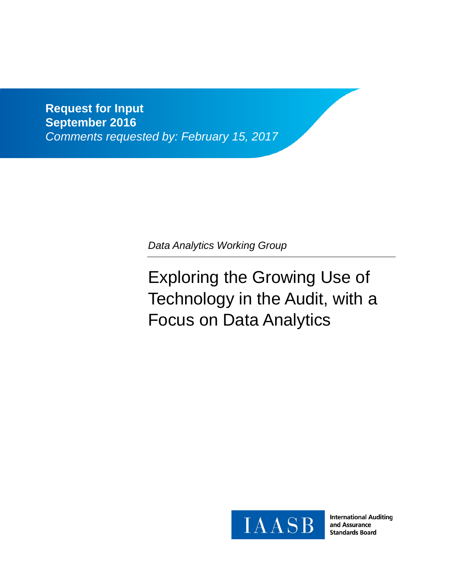**Request for Input September 2016** *Comments requested by: February 15, 2017*

*Data Analytics Working Group*

Exploring the Growing Use of Technology in the Audit, with a Focus on Data Analytics



**International Auditing** and Assurance **Standards Board**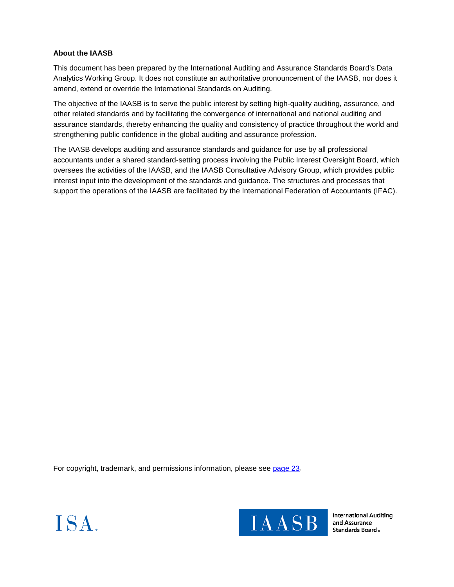## **About the IAASB**

This document has been prepared by the International Auditing and Assurance Standards Board's Data Analytics Working Group. It does not constitute an authoritative pronouncement of the IAASB, nor does it amend, extend or override the International Standards on Auditing.

The objective of the IAASB is to serve the public interest by setting high-quality auditing, assurance, and other related standards and by facilitating the convergence of international and national auditing and assurance standards, thereby enhancing the quality and consistency of practice throughout the world and strengthening public confidence in the global auditing and assurance profession.

The IAASB develops auditing and assurance standards and guidance for use by all professional accountants under a shared standard-setting process involving the Public Interest Oversight Board, which oversees the activities of the IAASB, and the IAASB Consultative Advisory Group, which provides public interest input into the development of the standards and guidance. The structures and processes that support the operations of the IAASB are facilitated by the International Federation of Accountants (IFAC).

For copyright, trademark, and permissions information, please see page 23.





**International Auditing** and Assurance Standards Board.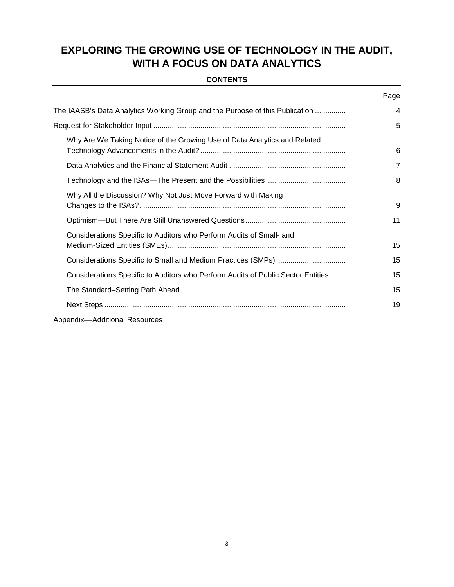# **EXPLORING THE GROWING USE OF TECHNOLOGY IN THE AUDIT, WITH A FOCUS ON DATA ANALYTICS**

## **CONTENTS**

|                                                                                  | Page           |
|----------------------------------------------------------------------------------|----------------|
| The IAASB's Data Analytics Working Group and the Purpose of this Publication     | 4              |
|                                                                                  | 5              |
| Why Are We Taking Notice of the Growing Use of Data Analytics and Related        | 6              |
|                                                                                  | $\overline{7}$ |
|                                                                                  | 8              |
| Why All the Discussion? Why Not Just Move Forward with Making                    | 9              |
|                                                                                  | 11             |
| Considerations Specific to Auditors who Perform Audits of Small- and             | 15             |
|                                                                                  | 15             |
| Considerations Specific to Auditors who Perform Audits of Public Sector Entities | 15             |
|                                                                                  | 15             |
|                                                                                  | 19             |
| Appendix-Additional Resources                                                    |                |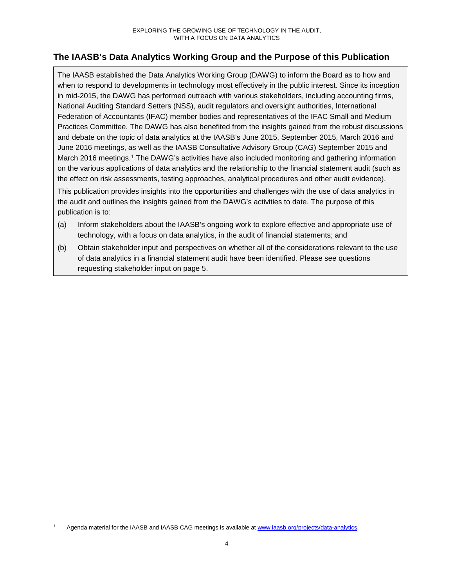## **The IAASB's Data Analytics Working Group and the Purpose of this Publication**

The IAASB established the Data Analytics Working Group (DAWG) to inform the Board as to how and when to respond to developments in technology most effectively in the public interest. Since its inception in mid-2015, the DAWG has performed outreach with various stakeholders, including accounting firms, National Auditing Standard Setters (NSS), audit regulators and oversight authorities, International Federation of Accountants (IFAC) member bodies and representatives of the IFAC Small and Medium Practices Committee. The DAWG has also benefited from the insights gained from the robust discussions and debate on the topic of data analytics at the IAASB's June 2015, September 2015, March 2016 and June 2016 meetings, as well as the IAASB Consultative Advisory Group (CAG) September 2015 and March 2016 meetings.<sup>1</sup> The DAWG's activities have also included monitoring and gathering information on the various applications of data analytics and the relationship to the financial statement audit (such as the effect on risk assessments, testing approaches, analytical procedures and other audit evidence).

This publication provides insights into the opportunities and challenges with the use of data analytics in the audit and outlines the insights gained from the DAWG's activities to date. The purpose of this publication is to:

- (a) Inform stakeholders about the IAASB's ongoing work to explore effective and appropriate use of technology, with a focus on data analytics, in the audit of financial statements; and
- (b) Obtain stakeholder input and perspectives on whether all of the considerations relevant to the use of data analytics in a financial statement audit have been identified. Please see questions requesting stakeholder input on page 5.

Agenda material for the IAASB and IAASB CAG meetings is available at www.iaasb.org/projects/data-analytics.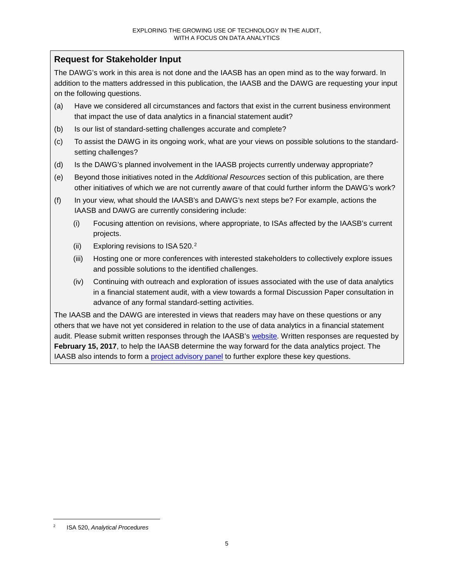## **Request for Stakeholder Input**

The DAWG's work in this area is not done and the IAASB has an open mind as to the way forward. In addition to the matters addressed in this publication, the IAASB and the DAWG are requesting your input on the following questions.

- (a) Have we considered all circumstances and factors that exist in the current business environment that impact the use of data analytics in a financial statement audit?
- (b) Is our list of standard-setting challenges accurate and complete?
- (c) To assist the DAWG in its ongoing work, what are your views on possible solutions to the standardsetting challenges?
- (d) Is the DAWG's planned involvement in the IAASB projects currently underway appropriate?
- (e) Beyond those initiatives noted in the *Additional Resources* section of this publication, are there other initiatives of which we are not currently aware of that could further inform the DAWG's work?
- (f) In your view, what should the IAASB's and DAWG's next steps be? For example, actions the IAASB and DAWG are currently considering include:
	- (i) Focusing attention on revisions, where appropriate, to ISAs affected by the IAASB's current projects.
	- (ii) Exploring revisions to ISA 520.2
	- (iii) Hosting one or more conferences with interested stakeholders to collectively explore issues and possible solutions to the identified challenges.
	- (iv) Continuing with outreach and exploration of issues associated with the use of data analytics in a financial statement audit, with a view towards a formal Discussion Paper consultation in advance of any formal standard-setting activities.

The IAASB and the DAWG are interested in views that readers may have on these questions or any others that we have not yet considered in relation to the use of data analytics in a financial statement audit. Please submit written responses through the IAASB's website. Written responses are requested by **February 15, 2017**, to help the IAASB determine the way forward for the data analytics project. The IAASB also intends to form a project advisory panel to further explore these key questions.

 <sup>2</sup> ISA 520, *Analytical Procedures*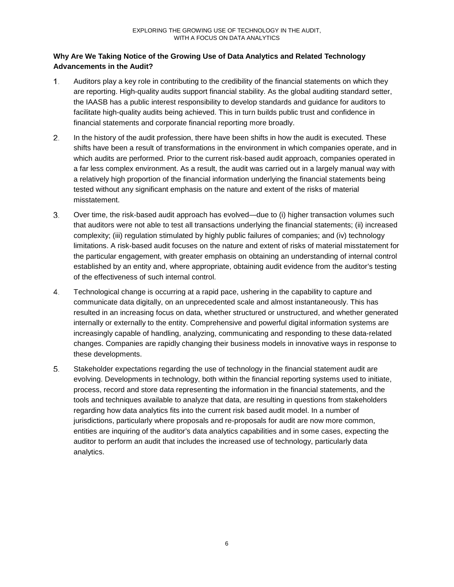## **Why Are We Taking Notice of the Growing Use of Data Analytics and Related Technology Advancements in the Audit?**

- $1.$ Auditors play a key role in contributing to the credibility of the financial statements on which they are reporting. High-quality audits support financial stability. As the global auditing standard setter, the IAASB has a public interest responsibility to develop standards and guidance for auditors to facilitate high-quality audits being achieved. This in turn builds public trust and confidence in financial statements and corporate financial reporting more broadly.
- In the history of the audit profession, there have been shifts in how the audit is executed. These  $2.$ shifts have been a result of transformations in the environment in which companies operate, and in which audits are performed. Prior to the current risk-based audit approach, companies operated in a far less complex environment. As a result, the audit was carried out in a largely manual way with a relatively high proportion of the financial information underlying the financial statements being tested without any significant emphasis on the nature and extent of the risks of material misstatement.
- 3. Over time, the risk-based audit approach has evolved—due to (i) higher transaction volumes such that auditors were not able to test all transactions underlying the financial statements; (ii) increased complexity; (iii) regulation stimulated by highly public failures of companies; and (iv) technology limitations. A risk-based audit focuses on the nature and extent of risks of material misstatement for the particular engagement, with greater emphasis on obtaining an understanding of internal control established by an entity and, where appropriate, obtaining audit evidence from the auditor's testing of the effectiveness of such internal control.
- $4.$ Technological change is occurring at a rapid pace, ushering in the capability to capture and communicate data digitally, on an unprecedented scale and almost instantaneously. This has resulted in an increasing focus on data, whether structured or unstructured, and whether generated internally or externally to the entity. Comprehensive and powerful digital information systems are increasingly capable of handling, analyzing, communicating and responding to these data-related changes. Companies are rapidly changing their business models in innovative ways in response to these developments.
- 5. Stakeholder expectations regarding the use of technology in the financial statement audit are evolving. Developments in technology, both within the financial reporting systems used to initiate, process, record and store data representing the information in the financial statements, and the tools and techniques available to analyze that data, are resulting in questions from stakeholders regarding how data analytics fits into the current risk based audit model. In a number of jurisdictions, particularly where proposals and re-proposals for audit are now more common, entities are inquiring of the auditor's data analytics capabilities and in some cases, expecting the auditor to perform an audit that includes the increased use of technology, particularly data analytics.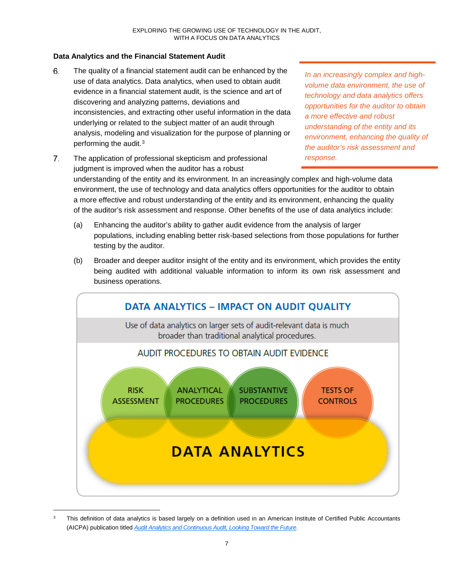## **Data Analytics and the Financial Statement Audit**

- 6. The quality of a financial statement audit can be enhanced by the use of data analytics. Data analytics, when used to obtain audit evidence in a financial statement audit, is the science and art of discovering and analyzing patterns, deviations and inconsistencies, and extracting other useful information in the data underlying or related to the subject matter of an audit through analysis, modeling and visualization for the purpose of planning or performing the audit.3
- $7<sub>1</sub>$ The application of professional skepticism and professional *response.*judgment is improved when the auditor has a robust understanding of the entity and its environment. In an increasingly complex and high-volume data environment, the use of technology and data analytics offers opportunities for the auditor to obtain a more effective and robust understanding of the entity and its environment, enhancing the quality of the auditor's risk assessment and response. Other benefits of the use of data analytics include:
	- (a) Enhancing the auditor's ability to gather audit evidence from the analysis of larger populations, including enabling better risk-based selections from those populations for further testing by the auditor.
	- (b) Broader and deeper auditor insight of the entity and its environment, which provides the entity being audited with additional valuable information to inform its own risk assessment and business operations.



<sup>&</sup>lt;sup>3</sup> This definition of data analytics is based largely on a definition used in an American Institute of Certified Public Accountants (AICPA) publication titled *Audit Analytics and Continuous Audit, Looking Toward the Future*.

*In an increasingly complex and highvolume data environment, the use of technology and data analytics offers opportunities for the auditor to obtain a more effective and robust understanding of the entity and its environment, enhancing the quality of the auditor's risk assessment and*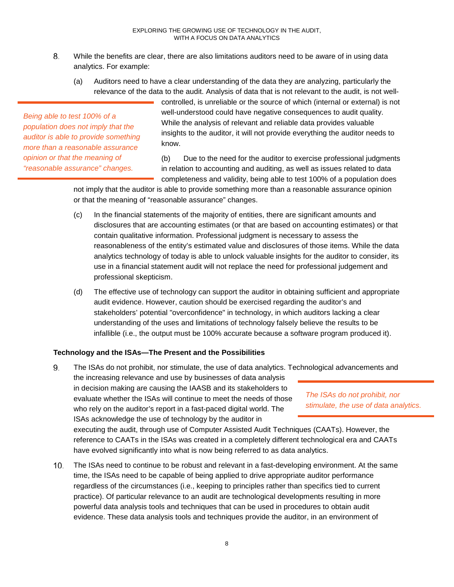- 8. While the benefits are clear, there are also limitations auditors need to be aware of in using data analytics. For example:
	- (a) Auditors need to have a clear understanding of the data they are analyzing, particularly the relevance of the data to the audit. Analysis of data that is not relevant to the audit, is not well-

*Being able to test 100% of a population does not imply that the auditor is able to provide something more than a reasonable assurance opinion or that the meaning of "reasonable assurance" changes.*

controlled, is unreliable or the source of which (internal or external) is not well-understood could have negative consequences to audit quality. While the analysis of relevant and reliable data provides valuable insights to the auditor, it will not provide everything the auditor needs to know.

(b) Due to the need for the auditor to exercise professional judgments in relation to accounting and auditing, as well as issues related to data completeness and validity, being able to test 100% of a population does

not imply that the auditor is able to provide something more than a reasonable assurance opinion or that the meaning of "reasonable assurance" changes.

- (c) In the financial statements of the majority of entities, there are significant amounts and disclosures that are accounting estimates (or that are based on accounting estimates) or that contain qualitative information. Professional judgment is necessary to assess the reasonableness of the entity's estimated value and disclosures of those items. While the data analytics technology of today is able to unlock valuable insights for the auditor to consider, its use in a financial statement audit will not replace the need for professional judgement and professional skepticism.
- (d) The effective use of technology can support the auditor in obtaining sufficient and appropriate audit evidence. However, caution should be exercised regarding the auditor's and stakeholders' potential "overconfidence" in technology, in which auditors lacking a clear understanding of the uses and limitations of technology falsely believe the results to be infallible (i.e., the output must be 100% accurate because a software program produced it).

## **Technology and the ISAs—The Present and the Possibilities**

9. The ISAs do not prohibit, nor stimulate, the use of data analytics. Technological advancements and

the increasing relevance and use by businesses of data analysis in decision making are causing the IAASB and its stakeholders to evaluate whether the ISAs will continue to meet the needs of those who rely on the auditor's report in a fast-paced digital world. The ISAs acknowledge the use of technology by the auditor in

executing the audit, through use of Computer Assisted Audit Techniques (CAATs). However, the reference to CAATs in the ISAs was created in a completely different technological era and CAATs have evolved significantly into what is now being referred to as data analytics.

10. The ISAs need to continue to be robust and relevant in a fast-developing environment. At the same time, the ISAs need to be capable of being applied to drive appropriate auditor performance regardless of the circumstances (i.e., keeping to principles rather than specifics tied to current practice). Of particular relevance to an audit are technological developments resulting in more powerful data analysis tools and techniques that can be used in procedures to obtain audit evidence. These data analysis tools and techniques provide the auditor, in an environment of

*The ISAs do not prohibit, nor stimulate, the use of data analytics.*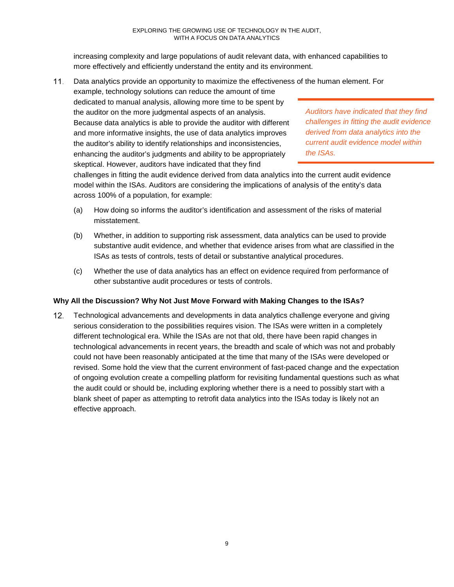increasing complexity and large populations of audit relevant data, with enhanced capabilities to more effectively and efficiently understand the entity and its environment.

 $11.$ Data analytics provide an opportunity to maximize the effectiveness of the human element. For example, technology solutions can reduce the amount of time dedicated to manual analysis, allowing more time to be spent by the auditor on the more judgmental aspects of an analysis. Because data analytics is able to provide the auditor with different and more informative insights, the use of data analytics improves the auditor's ability to identify relationships and inconsistencies, enhancing the auditor's judgments and ability to be appropriately skeptical. However, auditors have indicated that they find

*Auditors have indicated that they find challenges in fitting the audit evidence derived from data analytics into the current audit evidence model within the ISAs.*

challenges in fitting the audit evidence derived from data analytics into the current audit evidence model within the ISAs. Auditors are considering the implications of analysis of the entity's data across 100% of a population, for example:

- (a) How doing so informs the auditor's identification and assessment of the risks of material misstatement.
- (b) Whether, in addition to supporting risk assessment, data analytics can be used to provide substantive audit evidence, and whether that evidence arises from what are classified in the ISAs as tests of controls, tests of detail or substantive analytical procedures.
- (c) Whether the use of data analytics has an effect on evidence required from performance of other substantive audit procedures or tests of controls.

## **Why All the Discussion? Why Not Just Move Forward with Making Changes to the ISAs?**

Technological advancements and developments in data analytics challenge everyone and giving  $12.$ serious consideration to the possibilities requires vision. The ISAs were written in a completely different technological era. While the ISAs are not that old, there have been rapid changes in technological advancements in recent years, the breadth and scale of which was not and probably could not have been reasonably anticipated at the time that many of the ISAs were developed or revised. Some hold the view that the current environment of fast-paced change and the expectation of ongoing evolution create a compelling platform for revisiting fundamental questions such as what the audit could or should be, including exploring whether there is a need to possibly start with a blank sheet of paper as attempting to retrofit data analytics into the ISAs today is likely not an effective approach.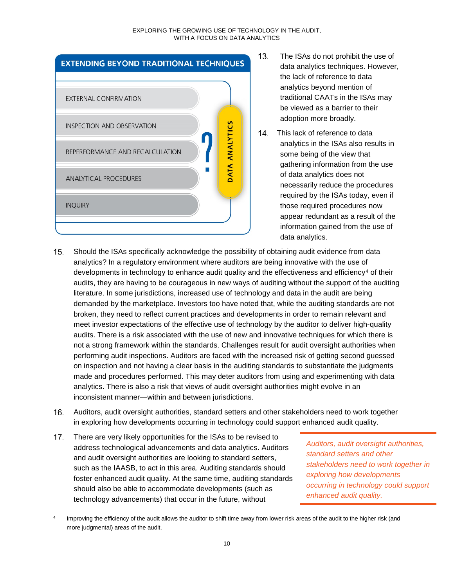#### EXPLORING THE GROWING USE OF TECHNOLOGY IN THE AUDIT, WITH A FOCUS ON DATA ANALYTICS



- $13.$ The ISAs do not prohibit the use of data analytics techniques. However, the lack of reference to data analytics beyond mention of traditional CAATs in the ISAs may be viewed as a barrier to their adoption more broadly.
- 14. This lack of reference to data analytics in the ISAs also results in some being of the view that gathering information from the use of data analytics does not necessarily reduce the procedures required by the ISAs today, even if those required procedures now appear redundant as a result of the information gained from the use of data analytics.
- $15.$ Should the ISAs specifically acknowledge the possibility of obtaining audit evidence from data analytics? In a regulatory environment where auditors are being innovative with the use of developments in technology to enhance audit quality and the effectiveness and efficiency<sup>4</sup> of their audits, they are having to be courageous in new ways of auditing without the support of the auditing literature. In some jurisdictions, increased use of technology and data in the audit are being demanded by the marketplace. Investors too have noted that, while the auditing standards are not broken, they need to reflect current practices and developments in order to remain relevant and meet investor expectations of the effective use of technology by the auditor to deliver high-quality audits. There is a risk associated with the use of new and innovative techniques for which there is not a strong framework within the standards. Challenges result for audit oversight authorities when performing audit inspections. Auditors are faced with the increased risk of getting second guessed on inspection and not having a clear basis in the auditing standards to substantiate the judgments made and procedures performed. This may deter auditors from using and experimenting with data analytics. There is also a risk that views of audit oversight authorities might evolve in an inconsistent manner—within and between jurisdictions.
- 16. Auditors, audit oversight authorities, standard setters and other stakeholders need to work together in exploring how developments occurring in technology could support enhanced audit quality.
- $17.$ There are very likely opportunities for the ISAs to be revised to address technological advancements and data analytics. Auditors and audit oversight authorities are looking to standard setters, such as the IAASB, to act in this area. Auditing standards should foster enhanced audit quality. At the same time, auditing standards should also be able to accommodate developments (such as technology advancements) that occur in the future, without

*Auditors, audit oversight authorities, standard setters and other stakeholders need to work together in exploring how developments occurring in technology could support enhanced audit quality.*

Improving the efficiency of the audit allows the auditor to shift time away from lower risk areas of the audit to the higher risk (and more judgmental) areas of the audit.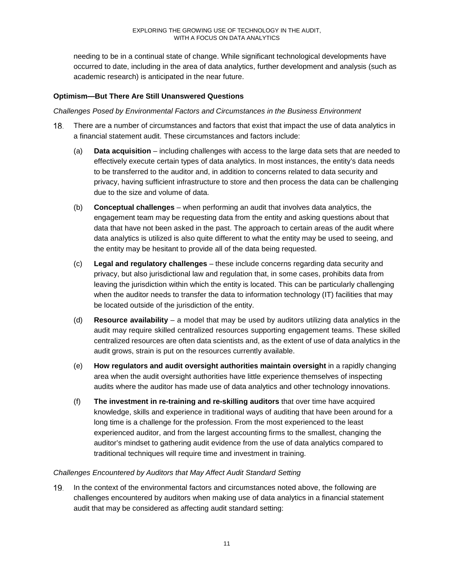needing to be in a continual state of change. While significant technological developments have occurred to date, including in the area of data analytics, further development and analysis (such as academic research) is anticipated in the near future.

## **Optimism—But There Are Still Unanswered Questions**

### *Challenges Posed by Environmental Factors and Circumstances in the Business Environment*

- There are a number of circumstances and factors that exist that impact the use of data analytics in 18. a financial statement audit. These circumstances and factors include:
	- (a) **Data acquisition** including challenges with access to the large data sets that are needed to effectively execute certain types of data analytics. In most instances, the entity's data needs to be transferred to the auditor and, in addition to concerns related to data security and privacy, having sufficient infrastructure to store and then process the data can be challenging due to the size and volume of data.
	- (b) **Conceptual challenges** when performing an audit that involves data analytics, the engagement team may be requesting data from the entity and asking questions about that data that have not been asked in the past. The approach to certain areas of the audit where data analytics is utilized is also quite different to what the entity may be used to seeing, and the entity may be hesitant to provide all of the data being requested.
	- (c) **Legal and regulatory challenges** these include concerns regarding data security and privacy, but also jurisdictional law and regulation that, in some cases, prohibits data from leaving the jurisdiction within which the entity is located. This can be particularly challenging when the auditor needs to transfer the data to information technology (IT) facilities that may be located outside of the jurisdiction of the entity.
	- (d) **Resource availability** a model that may be used by auditors utilizing data analytics in the audit may require skilled centralized resources supporting engagement teams. These skilled centralized resources are often data scientists and, as the extent of use of data analytics in the audit grows, strain is put on the resources currently available.
	- (e) **How regulators and audit oversight authorities maintain oversight** in a rapidly changing area when the audit oversight authorities have little experience themselves of inspecting audits where the auditor has made use of data analytics and other technology innovations.
	- (f) **The investment in re-training and re-skilling auditors** that over time have acquired knowledge, skills and experience in traditional ways of auditing that have been around for a long time is a challenge for the profession. From the most experienced to the least experienced auditor, and from the largest accounting firms to the smallest, changing the auditor's mindset to gathering audit evidence from the use of data analytics compared to traditional techniques will require time and investment in training.

## *Challenges Encountered by Auditors that May Affect Audit Standard Setting*

In the context of the environmental factors and circumstances noted above, the following are challenges encountered by auditors when making use of data analytics in a financial statement audit that may be considered as affecting audit standard setting: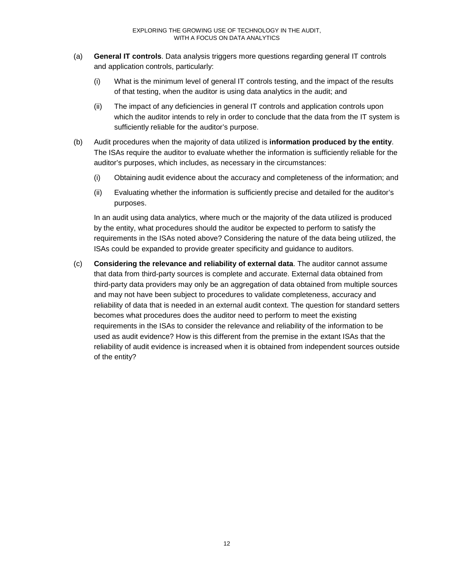- (a) **General IT controls**. Data analysis triggers more questions regarding general IT controls and application controls, particularly:
	- (i) What is the minimum level of general IT controls testing, and the impact of the results of that testing, when the auditor is using data analytics in the audit; and
	- (ii) The impact of any deficiencies in general IT controls and application controls upon which the auditor intends to rely in order to conclude that the data from the IT system is sufficiently reliable for the auditor's purpose.
- (b) Audit procedures when the majority of data utilized is **information produced by the entity**. The ISAs require the auditor to evaluate whether the information is sufficiently reliable for the auditor's purposes, which includes, as necessary in the circumstances:
	- (i) Obtaining audit evidence about the accuracy and completeness of the information; and
	- (ii) Evaluating whether the information is sufficiently precise and detailed for the auditor's purposes.

In an audit using data analytics, where much or the majority of the data utilized is produced by the entity, what procedures should the auditor be expected to perform to satisfy the requirements in the ISAs noted above? Considering the nature of the data being utilized, the ISAs could be expanded to provide greater specificity and guidance to auditors.

(c) **Considering the relevance and reliability of external data**. The auditor cannot assume that data from third-party sources is complete and accurate. External data obtained from third-party data providers may only be an aggregation of data obtained from multiple sources and may not have been subject to procedures to validate completeness, accuracy and reliability of data that is needed in an external audit context. The question for standard setters becomes what procedures does the auditor need to perform to meet the existing requirements in the ISAs to consider the relevance and reliability of the information to be used as audit evidence? How is this different from the premise in the extant ISAs that the reliability of audit evidence is increased when it is obtained from independent sources outside of the entity?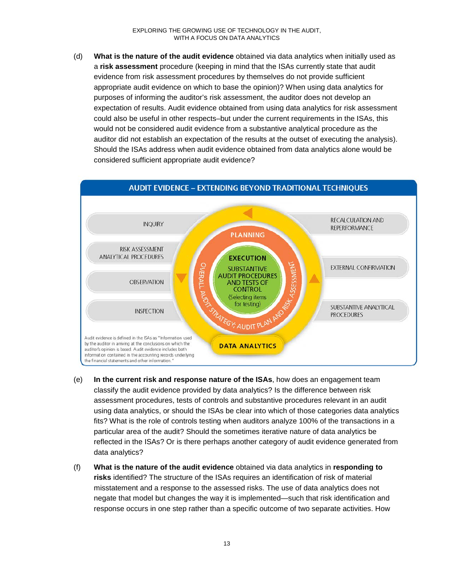(d) **What is the nature of the audit evidence** obtained via data analytics when initially used as a **risk assessment** procedure (keeping in mind that the ISAs currently state that audit evidence from risk assessment procedures by themselves do not provide sufficient appropriate audit evidence on which to base the opinion)? When using data analytics for purposes of informing the auditor's risk assessment, the auditor does not develop an expectation of results. Audit evidence obtained from using data analytics for risk assessment could also be useful in other respects–but under the current requirements in the ISAs, this would not be considered audit evidence from a substantive analytical procedure as the auditor did not establish an expectation of the results at the outset of executing the analysis). Should the ISAs address when audit evidence obtained from data analytics alone would be considered sufficient appropriate audit evidence?



- (e) **In the current risk and response nature of the ISAs**, how does an engagement team classify the audit evidence provided by data analytics? Is the difference between risk assessment procedures, tests of controls and substantive procedures relevant in an audit using data analytics, or should the ISAs be clear into which of those categories data analytics fits? What is the role of controls testing when auditors analyze 100% of the transactions in a particular area of the audit? Should the sometimes iterative nature of data analytics be reflected in the ISAs? Or is there perhaps another category of audit evidence generated from data analytics?
- (f) **What is the nature of the audit evidence** obtained via data analytics in **responding to risks** identified? The structure of the ISAs requires an identification of risk of material misstatement and a response to the assessed risks. The use of data analytics does not negate that model but changes the way it is implemented—such that risk identification and response occurs in one step rather than a specific outcome of two separate activities. How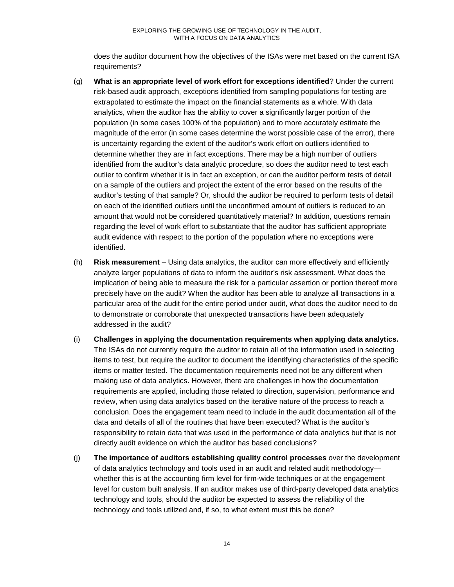does the auditor document how the objectives of the ISAs were met based on the current ISA requirements?

- (g) **What is an appropriate level of work effort for exceptions identified**? Under the current risk-based audit approach, exceptions identified from sampling populations for testing are extrapolated to estimate the impact on the financial statements as a whole. With data analytics, when the auditor has the ability to cover a significantly larger portion of the population (in some cases 100% of the population) and to more accurately estimate the magnitude of the error (in some cases determine the worst possible case of the error), there is uncertainty regarding the extent of the auditor's work effort on outliers identified to determine whether they are in fact exceptions. There may be a high number of outliers identified from the auditor's data analytic procedure, so does the auditor need to test each outlier to confirm whether it is in fact an exception, or can the auditor perform tests of detail on a sample of the outliers and project the extent of the error based on the results of the auditor's testing of that sample? Or, should the auditor be required to perform tests of detail on each of the identified outliers until the unconfirmed amount of outliers is reduced to an amount that would not be considered quantitatively material? In addition, questions remain regarding the level of work effort to substantiate that the auditor has sufficient appropriate audit evidence with respect to the portion of the population where no exceptions were identified.
- (h) **Risk measurement** Using data analytics, the auditor can more effectively and efficiently analyze larger populations of data to inform the auditor's risk assessment. What does the implication of being able to measure the risk for a particular assertion or portion thereof more precisely have on the audit? When the auditor has been able to analyze all transactions in a particular area of the audit for the entire period under audit, what does the auditor need to do to demonstrate or corroborate that unexpected transactions have been adequately addressed in the audit?
- (i) **Challenges in applying the documentation requirements when applying data analytics.** The ISAs do not currently require the auditor to retain all of the information used in selecting items to test, but require the auditor to document the identifying characteristics of the specific items or matter tested. The documentation requirements need not be any different when making use of data analytics. However, there are challenges in how the documentation requirements are applied, including those related to direction, supervision, performance and review, when using data analytics based on the iterative nature of the process to reach a conclusion. Does the engagement team need to include in the audit documentation all of the data and details of all of the routines that have been executed? What is the auditor's responsibility to retain data that was used in the performance of data analytics but that is not directly audit evidence on which the auditor has based conclusions?
- (j) **The importance of auditors establishing quality control processes** over the development of data analytics technology and tools used in an audit and related audit methodology whether this is at the accounting firm level for firm-wide techniques or at the engagement level for custom built analysis. If an auditor makes use of third-party developed data analytics technology and tools, should the auditor be expected to assess the reliability of the technology and tools utilized and, if so, to what extent must this be done?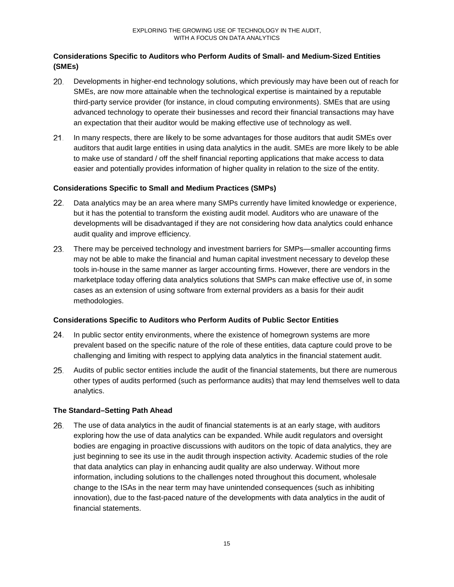## **Considerations Specific to Auditors who Perform Audits of Small- and Medium-Sized Entities (SMEs)**

- Developments in higher-end technology solutions, which previously may have been out of reach for SMEs, are now more attainable when the technological expertise is maintained by a reputable third-party service provider (for instance, in cloud computing environments). SMEs that are using advanced technology to operate their businesses and record their financial transactions may have an expectation that their auditor would be making effective use of technology as well.
- 21. In many respects, there are likely to be some advantages for those auditors that audit SMEs over auditors that audit large entities in using data analytics in the audit. SMEs are more likely to be able to make use of standard / off the shelf financial reporting applications that make access to data easier and potentially provides information of higher quality in relation to the size of the entity.

## **Considerations Specific to Small and Medium Practices (SMPs)**

- $22.$ Data analytics may be an area where many SMPs currently have limited knowledge or experience, but it has the potential to transform the existing audit model. Auditors who are unaware of the developments will be disadvantaged if they are not considering how data analytics could enhance audit quality and improve efficiency.
- There may be perceived technology and investment barriers for SMPs—smaller accounting firms 23. may not be able to make the financial and human capital investment necessary to develop these tools in-house in the same manner as larger accounting firms. However, there are vendors in the marketplace today offering data analytics solutions that SMPs can make effective use of, in some cases as an extension of using software from external providers as a basis for their audit methodologies.

#### **Considerations Specific to Auditors who Perform Audits of Public Sector Entities**

- 24. In public sector entity environments, where the existence of homegrown systems are more prevalent based on the specific nature of the role of these entities, data capture could prove to be challenging and limiting with respect to applying data analytics in the financial statement audit.
- Audits of public sector entities include the audit of the financial statements, but there are numerous other types of audits performed (such as performance audits) that may lend themselves well to data analytics.

#### **The Standard–Setting Path Ahead**

26. The use of data analytics in the audit of financial statements is at an early stage, with auditors exploring how the use of data analytics can be expanded. While audit regulators and oversight bodies are engaging in proactive discussions with auditors on the topic of data analytics, they are just beginning to see its use in the audit through inspection activity. Academic studies of the role that data analytics can play in enhancing audit quality are also underway. Without more information, including solutions to the challenges noted throughout this document, wholesale change to the ISAs in the near term may have unintended consequences (such as inhibiting innovation), due to the fast-paced nature of the developments with data analytics in the audit of financial statements.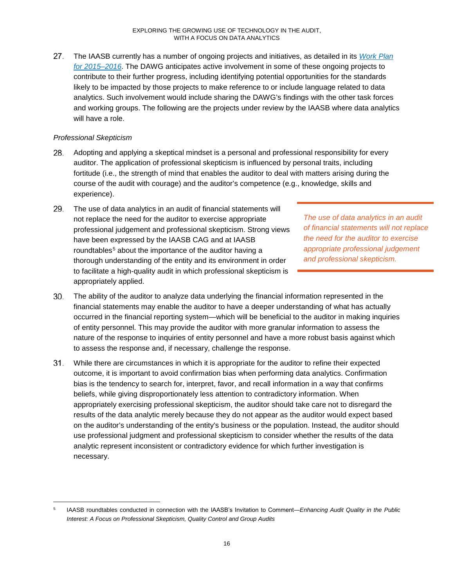$27.$ The IAASB currently has a number of ongoing projects and initiatives, as detailed in its *Work Plan for 2015–2016*. The DAWG anticipates active involvement in some of these ongoing projects to contribute to their further progress, including identifying potential opportunities for the standards likely to be impacted by those projects to make reference to or include language related to data analytics. Such involvement would include sharing the DAWG's findings with the other task forces and working groups. The following are the projects under review by the IAASB where data analytics will have a role.

## *Professional Skepticism*

- 28. Adopting and applying a skeptical mindset is a personal and professional responsibility for every auditor. The application of professional skepticism is influenced by personal traits, including fortitude (i.e., the strength of mind that enables the auditor to deal with matters arising during the course of the audit with courage) and the auditor's competence (e.g., knowledge, skills and experience).
- 29. The use of data analytics in an audit of financial statements will not replace the need for the auditor to exercise appropriate professional judgement and professional skepticism. Strong views have been expressed by the IAASB CAG and at IAASB roundtables<sup>5</sup> about the importance of the auditor having a thorough understanding of the entity and its environment in order to facilitate a high-quality audit in which professional skepticism is appropriately applied.

*The use of data analytics in an audit of financial statements will not replace the need for the auditor to exercise appropriate professional judgement and professional skepticism.*

- 30. The ability of the auditor to analyze data underlying the financial information represented in the financial statements may enable the auditor to have a deeper understanding of what has actually occurred in the financial reporting system—which will be beneficial to the auditor in making inquiries of entity personnel. This may provide the auditor with more granular information to assess the nature of the response to inquiries of entity personnel and have a more robust basis against which to assess the response and, if necessary, challenge the response.
- $31.$ While there are circumstances in which it is appropriate for the auditor to refine their expected outcome, it is important to avoid confirmation bias when performing data analytics. Confirmation bias is the tendency to search for, interpret, favor, and recall information in a way that confirms beliefs, while giving disproportionately less attention to contradictory information. When appropriately exercising professional skepticism, the auditor should take care not to disregard the results of the data analytic merely because they do not appear as the auditor would expect based on the auditor's understanding of the entity's business or the population. Instead, the auditor should use professional judgment and professional skepticism to consider whether the results of the data analytic represent inconsistent or contradictory evidence for which further investigation is necessary.

 <sup>5</sup> IAASB roundtables conducted in connection with the IAASB's Invitation to Comment―*Enhancing Audit Quality in the Public Interest: A Focus on Professional Skepticism, Quality Control and Group Audits*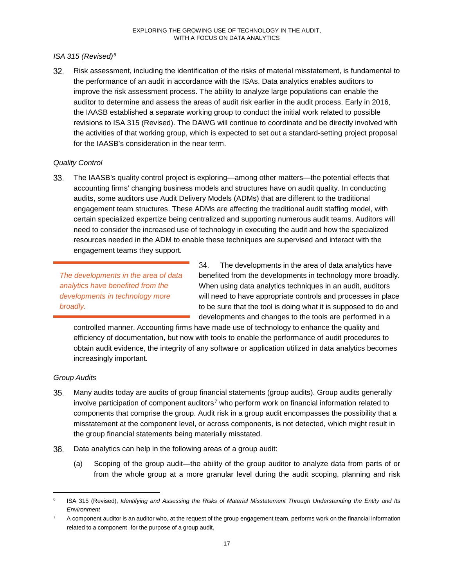## *ISA 315 (Revised)6*

Risk assessment, including the identification of the risks of material misstatement, is fundamental to 32. the performance of an audit in accordance with the ISAs. Data analytics enables auditors to improve the risk assessment process. The ability to analyze large populations can enable the auditor to determine and assess the areas of audit risk earlier in the audit process. Early in 2016, the IAASB established a separate working group to conduct the initial work related to possible revisions to ISA 315 (Revised). The DAWG will continue to coordinate and be directly involved with the activities of that working group, which is expected to set out a standard-setting project proposal for the IAASB's consideration in the near term.

## *Quality Control*

33. The IAASB's quality control project is exploring—among other matters—the potential effects that accounting firms' changing business models and structures have on audit quality. In conducting audits, some auditors use Audit Delivery Models (ADMs) that are different to the traditional engagement team structures. These ADMs are affecting the traditional audit staffing model, with certain specialized expertize being centralized and supporting numerous audit teams. Auditors will need to consider the increased use of technology in executing the audit and how the specialized resources needed in the ADM to enable these techniques are supervised and interact with the engagement teams they support.

*The developments in the area of data analytics have benefited from the developments in technology more broadly.*

34. The developments in the area of data analytics have benefited from the developments in technology more broadly. When using data analytics techniques in an audit, auditors will need to have appropriate controls and processes in place to be sure that the tool is doing what it is supposed to do and developments and changes to the tools are performed in a

controlled manner. Accounting firms have made use of technology to enhance the quality and efficiency of documentation, but now with tools to enable the performance of audit procedures to obtain audit evidence, the integrity of any software or application utilized in data analytics becomes increasingly important.

## *Group Audits*

- $35.$ Many audits today are audits of group financial statements (group audits). Group audits generally involve participation of component auditors<sup>7</sup> who perform work on financial information related to components that comprise the group. Audit risk in a group audit encompasses the possibility that a misstatement at the component level, or across components, is not detected, which might result in the group financial statements being materially misstated.
- Data analytics can help in the following areas of a group audit: 36.
	- (a) Scoping of the group audit—the ability of the group auditor to analyze data from parts of or from the whole group at a more granular level during the audit scoping, planning and risk

 <sup>6</sup> ISA 315 (Revised), *Identifying and Assessing the Risks of Material Misstatement Through Understanding the Entity and Its Environment*

 $7$  A component auditor is an auditor who, at the request of the group engagement team, performs work on the financial information related to a component for the purpose of a group audit.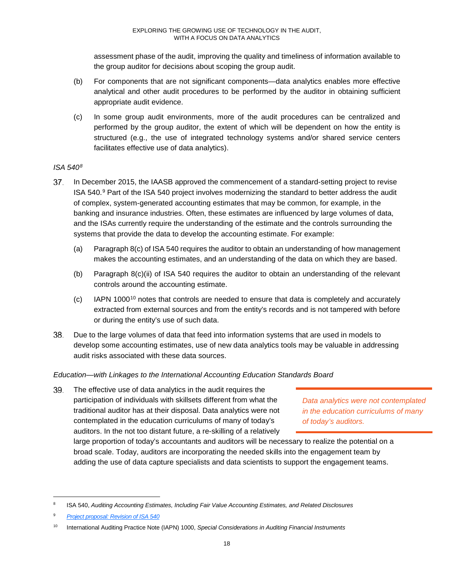assessment phase of the audit, improving the quality and timeliness of information available to the group auditor for decisions about scoping the group audit.

- (b) For components that are not significant components—data analytics enables more effective analytical and other audit procedures to be performed by the auditor in obtaining sufficient appropriate audit evidence.
- (c) In some group audit environments, more of the audit procedures can be centralized and performed by the group auditor, the extent of which will be dependent on how the entity is structured (e.g., the use of integrated technology systems and/or shared service centers facilitates effective use of data analytics).

## *ISA 5408*

- In December 2015, the IAASB approved the commencement of a standard-setting project to revise ISA 540.9 Part of the ISA 540 project involves modernizing the standard to better address the audit of complex, system-generated accounting estimates that may be common, for example, in the banking and insurance industries. Often, these estimates are influenced by large volumes of data, and the ISAs currently require the understanding of the estimate and the controls surrounding the systems that provide the data to develop the accounting estimate. For example:
	- (a) Paragraph 8(c) of ISA 540 requires the auditor to obtain an understanding of how management makes the accounting estimates, and an understanding of the data on which they are based.
	- (b) Paragraph 8(c)(ii) of ISA 540 requires the auditor to obtain an understanding of the relevant controls around the accounting estimate.
	- $\left( c \right)$  IAPN 1000<sup>10</sup> notes that controls are needed to ensure that data is completely and accurately extracted from external sources and from the entity's records and is not tampered with before or during the entity's use of such data.
- 38. Due to the large volumes of data that feed into information systems that are used in models to develop some accounting estimates, use of new data analytics tools may be valuable in addressing audit risks associated with these data sources.

## *Education—with Linkages to the International Accounting Education Standards Board*

The effective use of data analytics in the audit requires the 39. participation of individuals with skillsets different from what the traditional auditor has at their disposal. Data analytics were not contemplated in the education curriculums of many of today's auditors. In the not too distant future, a re-skilling of a relatively

*Data analytics were not contemplated in the education curriculums of many of today's auditors.*

large proportion of today's accountants and auditors will be necessary to realize the potential on a broad scale. Today, auditors are incorporating the needed skills into the engagement team by adding the use of data capture specialists and data scientists to support the engagement teams.

 <sup>8</sup> ISA 540, *Auditing Accounting Estimates, Including Fair Value Accounting Estimates, and Related Disclosures*

<sup>9</sup> *Project proposal: Revision of ISA 540*

<sup>10</sup> International Auditing Practice Note (IAPN) 1000, *Special Considerations in Auditing Financial Instruments*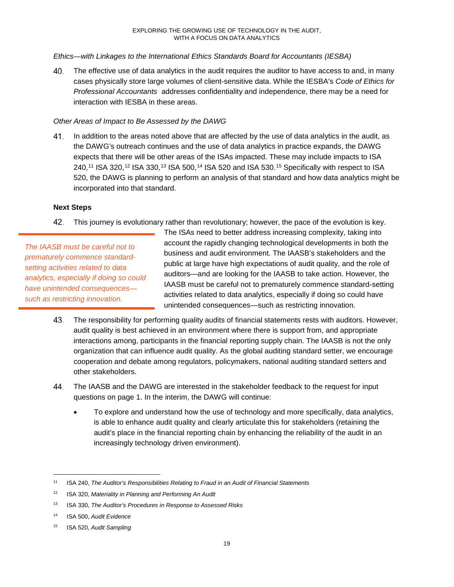*Ethics—with Linkages to the International Ethics Standards Board for Accountants (IESBA)*

The effective use of data analytics in the audit requires the auditor to have access to and, in many 40. cases physically store large volumes of client-sensitive data. While the IESBA's *Code of Ethics for Professional Accountants* addresses confidentiality and independence, there may be a need for interaction with IESBA in these areas.

#### *Other Areas of Impact to Be Assessed by the DAWG*

41. In addition to the areas noted above that are affected by the use of data analytics in the audit, as the DAWG's outreach continues and the use of data analytics in practice expands, the DAWG expects that there will be other areas of the ISAs impacted. These may include impacts to ISA 240,<sup>11</sup> ISA 320,<sup>12</sup> ISA 330,<sup>13</sup> ISA 500,<sup>14</sup> ISA 520 and ISA 530.<sup>15</sup> Specifically with respect to ISA 520, the DAWG is planning to perform an analysis of that standard and how data analytics might be incorporated into that standard.

#### **Next Steps**

42. This journey is evolutionary rather than revolutionary; however, the pace of the evolution is key.

*The IAASB must be careful not to prematurely commence standardsetting activities related to data analytics, especially if doing so could have unintended consequences such as restricting innovation.*

The ISAs need to better address increasing complexity, taking into account the rapidly changing technological developments in both the business and audit environment. The IAASB's stakeholders and the public at large have high expectations of audit quality, and the role of auditors—and are looking for the IAASB to take action. However, the IAASB must be careful not to prematurely commence standard-setting activities related to data analytics, especially if doing so could have unintended consequences—such as restricting innovation.

- 43. The responsibility for performing quality audits of financial statements rests with auditors. However, audit quality is best achieved in an environment where there is support from, and appropriate interactions among, participants in the financial reporting supply chain. The IAASB is not the only organization that can influence audit quality. As the global auditing standard setter, we encourage cooperation and debate among regulators, policymakers, national auditing standard setters and other stakeholders.
- 44. The IAASB and the DAWG are interested in the stakeholder feedback to the request for input questions on page 1. In the interim, the DAWG will continue:
	- To explore and understand how the use of technology and more specifically, data analytics, is able to enhance audit quality and clearly articulate this for stakeholders (retaining the audit's place in the financial reporting chain by enhancing the reliability of the audit in an increasingly technology driven environment).

 <sup>11</sup> ISA 240, *The Auditor's Responsibilities Relating to Fraud in an Audit of Financial Statements*

<sup>12</sup> ISA 320, *Materiality in Planning and Performing An Audit*

<sup>13</sup> ISA 330, *The Auditor's Procedures in Response to Assessed Risks*

<sup>14</sup> ISA 500, *Audit Evidence*

<sup>15</sup> ISA 520, *Audit Sampling*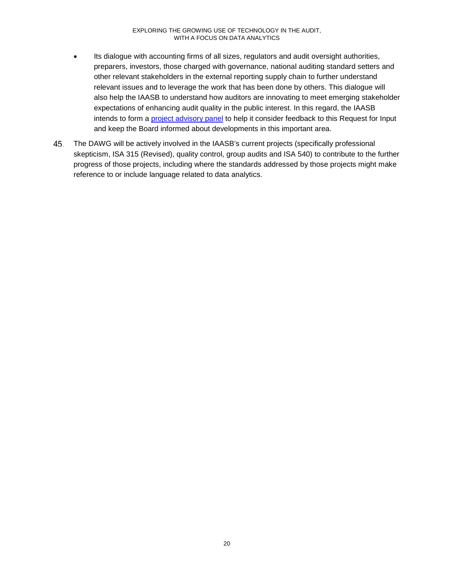- Its dialogue with accounting firms of all sizes, regulators and audit oversight authorities, preparers, investors, those charged with governance, national auditing standard setters and other relevant stakeholders in the external reporting supply chain to further understand relevant issues and to leverage the work that has been done by others. This dialogue will also help the IAASB to understand how auditors are innovating to meet emerging stakeholder expectations of enhancing audit quality in the public interest. In this regard, the IAASB intends to form a **project advisory panel** to help it consider feedback to this Request for Input and keep the Board informed about developments in this important area.
- 45. The DAWG will be actively involved in the IAASB's current projects (specifically professional skepticism, ISA 315 (Revised), quality control, group audits and ISA 540) to contribute to the further progress of those projects, including where the standards addressed by those projects might make reference to or include language related to data analytics.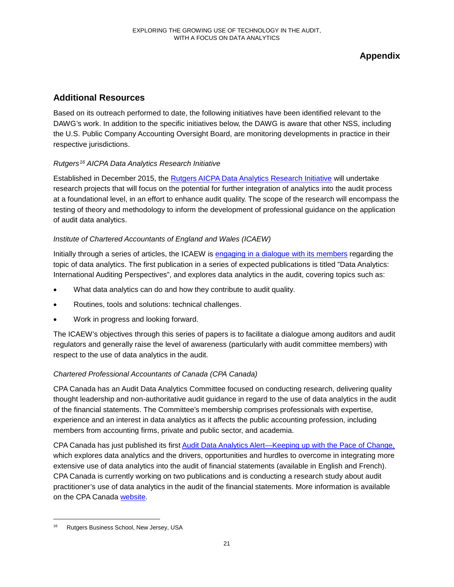## **Appendix**

## **Additional Resources**

Based on its outreach performed to date, the following initiatives have been identified relevant to the DAWG's work. In addition to the specific initiatives below, the DAWG is aware that other NSS, including the U.S. Public Company Accounting Oversight Board, are monitoring developments in practice in their respective jurisdictions.

## *Rutgers16 AICPA Data Analytics Research Initiative*

Established in December 2015, the Rutgers AICPA Data Analytics Research Initiative will undertake research projects that will focus on the potential for further integration of analytics into the audit process at a foundational level, in an effort to enhance audit quality. The scope of the research will encompass the testing of theory and methodology to inform the development of professional guidance on the application of audit data analytics.

## *Institute of Chartered Accountants of England and Wales (ICAEW)*

Initially through a series of articles, the ICAEW is engaging in a dialogue with its members regarding the topic of data analytics. The first publication in a series of expected publications is titled "Data Analytics: International Auditing Perspectives", and explores data analytics in the audit, covering topics such as:

- What data analytics can do and how they contribute to audit quality.
- Routines, tools and solutions: technical challenges.
- Work in progress and looking forward.

The ICAEW's objectives through this series of papers is to facilitate a dialogue among auditors and audit regulators and generally raise the level of awareness (particularly with audit committee members) with respect to the use of data analytics in the audit.

## *Chartered Professional Accountants of Canada (CPA Canada)*

CPA Canada has an Audit Data Analytics Committee focused on conducting research, delivering quality thought leadership and non-authoritative audit guidance in regard to the use of data analytics in the audit of the financial statements. The Committee's membership comprises professionals with expertise, experience and an interest in data analytics as it affects the public accounting profession, including members from accounting firms, private and public sector, and academia.

CPA Canada has just published its first Audit Data Analytics Alert—Keeping up with the Pace of Change, which explores data analytics and the drivers, opportunities and hurdles to overcome in integrating more extensive use of data analytics into the audit of financial statements (available in English and French). CPA Canada is currently working on two publications and is conducting a research study about audit practitioner's use of data analytics in the audit of the financial statements. More information is available on the CPA Canada website.

Rutgers Business School, New Jersey, USA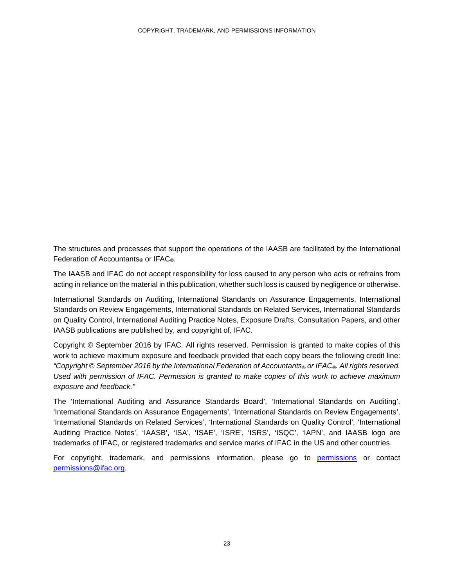The structures and processes that support the operations of the IAASB are facilitated by the International Federation of Accountants<sup>®</sup> or IFAC<sup>®</sup>.

The IAASB and IFAC do not accept responsibility for loss caused to any person who acts or refrains from acting in reliance on the material in this publication, whether such loss is caused by negligence or otherwise.

International Standards on Auditing, International Standards on Assurance Engagements, International Standards on Review Engagements, International Standards on Related Services, International Standards on Quality Control, International Auditing Practice Notes, Exposure Drafts, Consultation Papers, and other IAASB publications are published by, and copyright of, IFAC.

Copyright © September 2016 by IFAC. All rights reserved. Permission is granted to make copies of this work to achieve maximum exposure and feedback provided that each copy bears the following credit line: *"Copyright © September 2016 by the International Federation of Accountants® or IFAC®. All rights reserved. Used with permission of IFAC. Permission is granted to make copies of this work to achieve maximum exposure and feedback."*

The 'International Auditing and Assurance Standards Board', 'International Standards on Auditing', 'International Standards on Assurance Engagements', 'International Standards on Review Engagements', 'International Standards on Related Services', 'International Standards on Quality Control', 'International Auditing Practice Notes', 'IAASB', 'ISA', 'ISAE', 'ISRE', 'ISRS', 'ISQC', 'IAPN', and IAASB logo are trademarks of IFAC, or registered trademarks and service marks of IFAC in the US and other countries.

For copyright, trademark, and permissions information, please go to permissions or contact permissions@ifac.org.